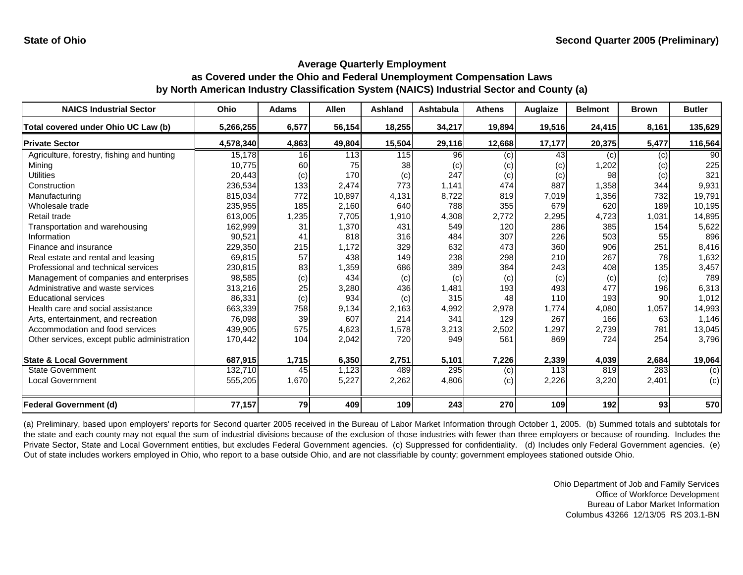| <b>NAICS Industrial Sector</b>               | Ohio      | <b>Adams</b> | <b>Allen</b> | <b>Ashland</b> | Ashtabula | <b>Athens</b> | Auglaize | <b>Belmont</b> | <b>Brown</b> | <b>Butler</b> |
|----------------------------------------------|-----------|--------------|--------------|----------------|-----------|---------------|----------|----------------|--------------|---------------|
| Total covered under Ohio UC Law (b)          | 5,266,255 | 6,577        | 56,154       | 18,255         | 34,217    | 19,894        | 19,516   | 24,415         | 8,161        | 135,629       |
| <b>Private Sector</b>                        | 4,578,340 | 4,863        | 49,804       | 15,504         | 29,116    | 12,668        | 17,177   | 20,375         | 5,477        | 116,564       |
| Agriculture, forestry, fishing and hunting   | 15,178    | 16           | 113          | 115            | 96        | (c)           | 43       | (c)            | (c)          | 90            |
| Mining                                       | 10,775    | 60           | 75           | 38             | (c)       | (c)           | (c)      | 1,202          | (c)          | 225           |
| <b>Utilities</b>                             | 20,443    | (c)          | 170          | (c)            | 247       | (c)           | (c)      | 98             | (c)          | 321           |
| Construction                                 | 236,534   | 133          | 2,474        | 773            | 1,141     | 474           | 887      | 1,358          | 344          | 9,931         |
| Manufacturing                                | 815,034   | 772          | 10,897       | 4,131          | 8,722     | 819           | 7,019    | 1,356          | 732          | 19,791        |
| Wholesale trade                              | 235,955   | 185          | 2,160        | 640            | 788       | 355           | 679      | 620            | 189          | 10,195        |
| Retail trade                                 | 613,005   | 1,235        | 7,705        | 1,910          | 4,308     | 2,772         | 2,295    | 4,723          | 1,031        | 14,895        |
| Transportation and warehousing               | 162,999   | 31           | 1,370        | 431            | 549       | 120           | 286      | 385            | 154          | 5,622         |
| Information                                  | 90,521    | 41           | 818          | 316            | 484       | 307           | 226      | 503            | 55           | 896           |
| Finance and insurance                        | 229,350   | 215          | 1,172        | 329            | 632       | 473           | 360      | 906            | 251          | 8,416         |
| Real estate and rental and leasing           | 69,815    | 57           | 438          | 149            | 238       | 298           | 210      | 267            | 78           | 1,632         |
| Professional and technical services          | 230,815   | 83           | 1,359        | 686            | 389       | 384           | 243      | 408            | 135          | 3,457         |
| Management of companies and enterprises      | 98,585    | (c)          | 434          | (c)            | (c)       | (c)           | (c)      | (c)            | (c)          | 789           |
| Administrative and waste services            | 313,216   | 25           | 3,280        | 436            | 1,481     | 193           | 493      | 477            | 196          | 6,313         |
| <b>Educational services</b>                  | 86,331    | (c)          | 934          | (c)            | 315       | 48            | 110      | 193            | 90           | 1,012         |
| Health care and social assistance            | 663,339   | 758          | 9,134        | 2,163          | 4,992     | 2,978         | 1,774    | 4,080          | 1,057        | 14,993        |
| Arts, entertainment, and recreation          | 76,098    | 39           | 607          | 214            | 341       | 129           | 267      | 166            | 63           | 1,146         |
| Accommodation and food services              | 439,905   | 575          | 4,623        | 1,578          | 3,213     | 2,502         | 1,297    | 2,739          | 781          | 13,045        |
| Other services, except public administration | 170,442   | 104          | 2,042        | 720            | 949       | 561           | 869      | 724            | 254          | 3,796         |
| <b>State &amp; Local Government</b>          | 687,915   | 1,715        | 6,350        | 2,751          | 5,101     | 7,226         | 2,339    | 4,039          | 2,684        | 19,064        |
| <b>State Government</b>                      | 132,710   | 45           | 1,123        | 489            | 295       | (c)           | 113      | 819            | 283          | (c)           |
| <b>Local Government</b>                      | 555,205   | 1,670        | 5,227        | 2,262          | 4,806     | (c)           | 2,226    | 3,220          | 2,401        | (c)           |
| <b>Federal Government (d)</b>                | 77,157    | 79           | 409          | 109            | 243       | 270           | 109      | 192            | 93           | 570           |

(a) Preliminary, based upon employers' reports for Second quarter 2005 received in the Bureau of Labor Market Information through October 1, 2005. (b) Summed totals and subtotals for the state and each county may not equal the sum of industrial divisions because of the exclusion of those industries with fewer than three employers or because of rounding. Includes the Private Sector, State and Local Government entities, but excludes Federal Government agencies. (c) Suppressed for confidentiality. (d) Includes only Federal Government agencies. (e) Out of state includes workers employed in Ohio, who report to a base outside Ohio, and are not classifiable by county; government employees stationed outside Ohio.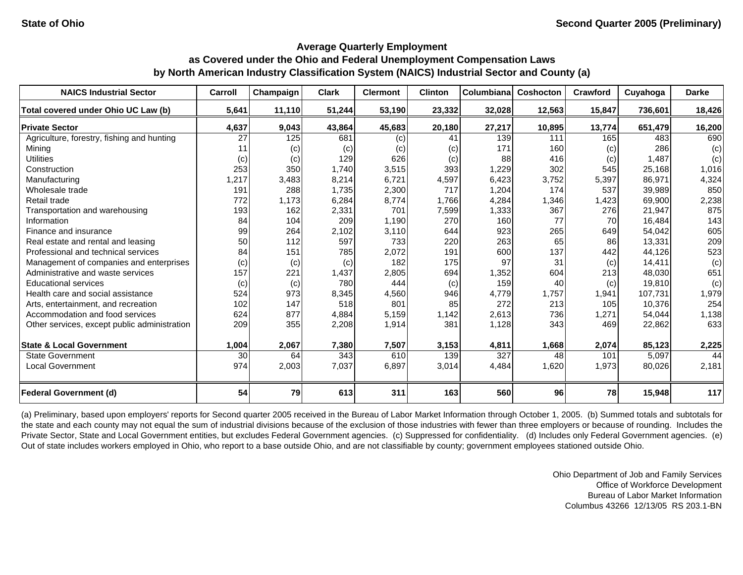| <b>NAICS Industrial Sector</b>               | Carroll | Champaign | <b>Clark</b> | <b>Clermont</b> | <b>Clinton</b> | Columbiana | <b>Coshocton</b> | Crawford | Cuyahoga | <b>Darke</b> |
|----------------------------------------------|---------|-----------|--------------|-----------------|----------------|------------|------------------|----------|----------|--------------|
| Total covered under Ohio UC Law (b)          | 5,641   | 11,110    | 51,244       | 53,190          | 23,332         | 32,028     | 12,563           | 15,847   | 736.601  | 18,426       |
| <b>Private Sector</b>                        | 4,637   | 9,043     | 43,864       | 45,683          | 20,180         | 27,217     | 10,895           | 13,774   | 651,479  | 16,200       |
| Agriculture, forestry, fishing and hunting   | 27      | 125       | 681          | (c)             | 41             | 139        | 111              | 165      | 483      | 690          |
| Mining                                       | 11      | (c)       | (c)          | (c)             | (c)            | 171        | 160              | (c)      | 286      | (c)          |
| <b>Utilities</b>                             | (c)     | (c)       | 129          | 626             | (c)            | 88         | 416              | (c)      | 1,487    | (c)          |
| Construction                                 | 253     | 350       | 1,740        | 3,515           | 393            | 1,229      | 302              | 545      | 25,168   | 1,016        |
| Manufacturing                                | 1,217   | 3,483     | 8,214        | 6,721           | 4,597          | 6,423      | 3,752            | 5,397    | 86,971   | 4,324        |
| Wholesale trade                              | 191     | 288       | 1,735        | 2,300           | 717            | 1,204      | 174              | 537      | 39,989   | 850          |
| Retail trade                                 | 772     | 1,173     | 6,284        | 8,774           | 1,766          | 4,284      | 1,346            | 1,423    | 69,900   | 2,238        |
| Transportation and warehousing               | 193     | 162       | 2,331        | 701             | 7,599          | 1,333      | 367              | 276      | 21,947   | 875          |
| Information                                  | 84      | 104       | 209          | 1,190           | 270            | 160        | 77               | 70       | 16,484   | 143          |
| Finance and insurance                        | 99      | 264       | 2,102        | 3,110           | 644            | 923        | 265              | 649      | 54,042   | 605          |
| Real estate and rental and leasing           | 50      | 112       | 597          | 733             | 220            | 263        | 65               | 86       | 13,331   | 209          |
| Professional and technical services          | 84      | 151       | 785          | 2,072           | 191            | 600        | 137              | 442      | 44,126   | 523          |
| Management of companies and enterprises      | (c)     | (c)       | (c)          | 182             | 175            | 97         | 31               | (c)      | 14,411   | (c)          |
| Administrative and waste services            | 157     | 221       | 1,437        | 2,805           | 694            | 1,352      | 604              | 213      | 48,030   | 651          |
| <b>Educational services</b>                  | (c)     | (c)       | 780          | 444             | (c)            | 159        | 40               | (c)      | 19,810   | (c)          |
| Health care and social assistance            | 524     | 973       | 8,345        | 4,560           | 946            | 4,779      | 1,757            | 1,941    | 107,731  | 1,979        |
| Arts, entertainment, and recreation          | 102     | 147       | 518          | 801             | 85             | 272        | 213              | 105      | 10,376   | 254          |
| Accommodation and food services              | 624     | 877       | 4,884        | 5,159           | 1,142          | 2,613      | 736              | 1,271    | 54,044   | 1,138        |
| Other services, except public administration | 209     | 355       | 2,208        | 1,914           | 381            | 1,128      | 343              | 469      | 22,862   | 633          |
| <b>State &amp; Local Government</b>          | 1,004   | 2,067     | 7,380        | 7,507           | 3,153          | 4,811      | 1,668            | 2,074    | 85,123   | 2,225        |
| <b>State Government</b>                      | 30      | 64        | 343          | 610             | 139            | 327        | 48               | 101      | 5,097    | 44           |
| <b>Local Government</b>                      | 974     | 2,003     | 7,037        | 6,897           | 3,014          | 4,484      | 1,620            | 1,973    | 80,026   | 2,181        |
| <b>Federal Government (d)</b>                | 54      | 79        | 613          | 311             | 163            | 560        | 96               | 78       | 15,948   | 117          |

(a) Preliminary, based upon employers' reports for Second quarter 2005 received in the Bureau of Labor Market Information through October 1, 2005. (b) Summed totals and subtotals for the state and each county may not equal the sum of industrial divisions because of the exclusion of those industries with fewer than three employers or because of rounding. Includes the Private Sector, State and Local Government entities, but excludes Federal Government agencies. (c) Suppressed for confidentiality. (d) Includes only Federal Government agencies. (e) Out of state includes workers employed in Ohio, who report to a base outside Ohio, and are not classifiable by county; government employees stationed outside Ohio.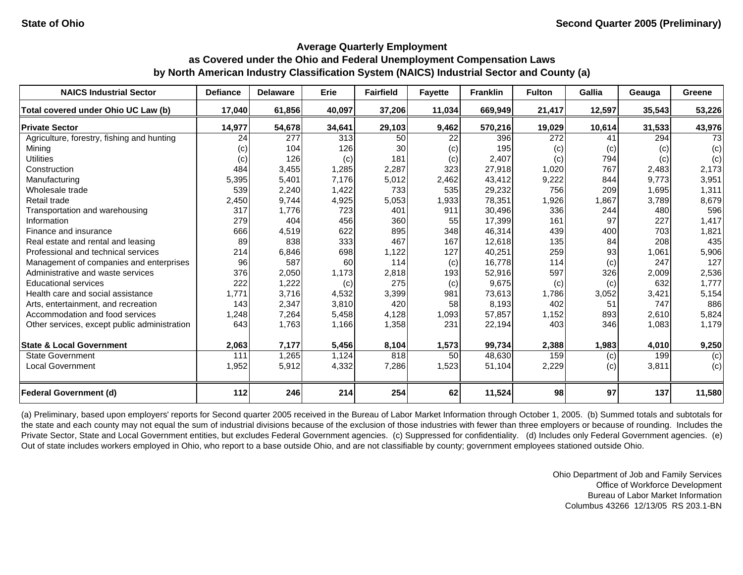| <b>NAICS Industrial Sector</b>               | <b>Defiance</b> | <b>Delaware</b> | Erie   | <b>Fairfield</b> | <b>Fayette</b> | <b>Franklin</b> | <b>Fulton</b> | Gallia | Geauga | <b>Greene</b> |
|----------------------------------------------|-----------------|-----------------|--------|------------------|----------------|-----------------|---------------|--------|--------|---------------|
| Total covered under Ohio UC Law (b)          | 17,040          | 61,856          | 40,097 | 37,206           | 11,034         | 669,949         | 21,417        | 12,597 | 35,543 | 53,226        |
| <b>Private Sector</b>                        | 14,977          | 54,678          | 34,641 | 29,103           | 9,462          | 570,216         | 19,029        | 10,614 | 31,533 | 43,976        |
| Agriculture, forestry, fishing and hunting   | 24              | 277             | 313    | 50               | 22             | 396             | 272           | 41     | 294    | 73            |
| Minina                                       | (c)             | 104             | 126    | 30               | (c)            | 195             | (c)           | (c)    | (c)    | (c)           |
| <b>Utilities</b>                             | (c)             | 126             | (c)    | 181              | (c)            | 2,407           | (c)           | 794    | (c)    | (c)           |
| Construction                                 | 484             | 3,455           | 1,285  | 2,287            | 323            | 27,918          | 1,020         | 767    | 2,483  | 2,173         |
| Manufacturing                                | 5,395           | 5,401           | 7.176  | 5,012            | 2,462          | 43,412          | 9,222         | 844    | 9.773  | 3,951         |
| Wholesale trade                              | 539             | 2,240           | 1,422  | 733              | 535            | 29,232          | 756           | 209    | 1,695  | 1,311         |
| Retail trade                                 | 2,450           | 9,744           | 4,925  | 5,053            | 1,933          | 78,351          | 1,926         | 1,867  | 3,789  | 8,679         |
| Transportation and warehousing               | 317             | 1,776           | 723    | 401              | 911            | 30,496          | 336           | 244    | 480    | 596           |
| Information                                  | 279             | 404             | 456    | 360              | 55             | 17,399          | 161           | 97     | 227    | 1,417         |
| Finance and insurance                        | 666             | 4,519           | 622    | 895              | 348            | 46,314          | 439           | 400    | 703    | 1,821         |
| Real estate and rental and leasing           | 89              | 838             | 333    | 467              | 167            | 12,618          | 135           | 84     | 208    | 435           |
| Professional and technical services          | 214             | 6,846           | 698    | 1,122            | 127            | 40,251          | 259           | 93     | 1,061  | 5,906         |
| Management of companies and enterprises      | 96              | 587             | 60     | 114              | (c)            | 16,778          | 114           | (c)    | 247    | 127           |
| Administrative and waste services            | 376             | 2,050           | 1,173  | 2,818            | 193            | 52,916          | 597           | 326    | 2,009  | 2,536         |
| <b>Educational services</b>                  | 222             | 1,222           | (c)    | 275              | (c)            | 9,675           | (c)           | (c)    | 632    | 1,777         |
| Health care and social assistance            | 1,771           | 3,716           | 4,532  | 3,399            | 981            | 73,613          | 1,786         | 3,052  | 3,421  | 5,154         |
| Arts, entertainment, and recreation          | 143             | 2,347           | 3,810  | 420              | 58             | 8,193           | 402           | 51     | 747    | 886           |
| Accommodation and food services              | 1,248           | 7,264           | 5,458  | 4,128            | 1,093          | 57,857          | 1,152         | 893    | 2,610  | 5,824         |
| Other services, except public administration | 643             | 1,763           | 1,166  | 1,358            | 231            | 22,194          | 403           | 346    | 1,083  | 1,179         |
| <b>State &amp; Local Government</b>          | 2,063           | 7,177           | 5,456  | 8,104            | 1,573          | 99,734          | 2,388         | 1,983  | 4,010  | 9,250         |
| <b>State Government</b>                      | 111             | 1,265           | 1,124  | 818              | 50             | 48,630          | 159           | (c)    | 199    | (c)           |
| <b>Local Government</b>                      | 1,952           | 5,912           | 4,332  | 7,286            | 1,523          | 51,104          | 2,229         | (c)    | 3,811  | (c)           |
| <b>Federal Government (d)</b>                | 112             | 246             | 214    | 254              | 62             | 11,524          | 98            | 97     | 137    | 11,580        |

(a) Preliminary, based upon employers' reports for Second quarter 2005 received in the Bureau of Labor Market Information through October 1, 2005. (b) Summed totals and subtotals for the state and each county may not equal the sum of industrial divisions because of the exclusion of those industries with fewer than three employers or because of rounding. Includes the Private Sector, State and Local Government entities, but excludes Federal Government agencies. (c) Suppressed for confidentiality. (d) Includes only Federal Government agencies. (e) Out of state includes workers employed in Ohio, who report to a base outside Ohio, and are not classifiable by county; government employees stationed outside Ohio.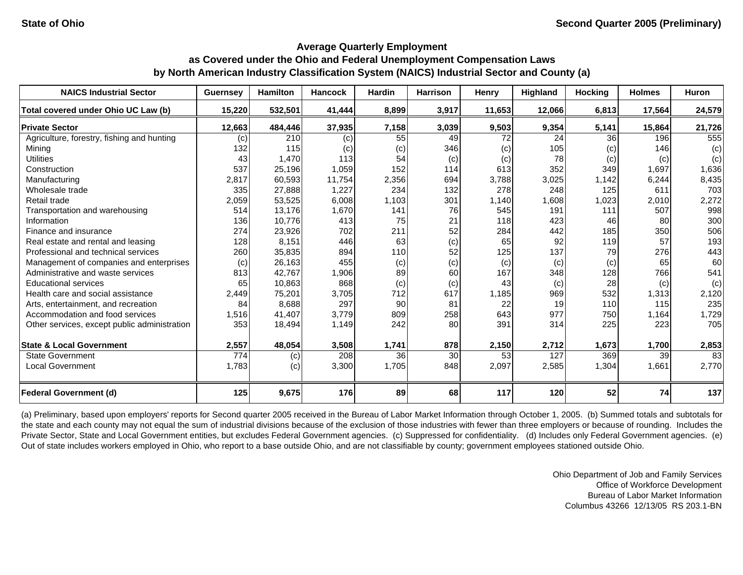| <b>NAICS Industrial Sector</b>               | <b>Guernsey</b> | <b>Hamilton</b> | <b>Hancock</b> | <b>Hardin</b> | <b>Harrison</b> | Henry  | <b>Highland</b> | <b>Hocking</b> | <b>Holmes</b> | <b>Huron</b> |
|----------------------------------------------|-----------------|-----------------|----------------|---------------|-----------------|--------|-----------------|----------------|---------------|--------------|
| Total covered under Ohio UC Law (b)          | 15,220          | 532,501         | 41,444         | 8,899         | 3,917           | 11,653 | 12,066          | 6,813          | 17,564        | 24,579       |
| <b>Private Sector</b>                        | 12,663          | 484,446         | 37,935         | 7,158         | 3,039           | 9,503  | 9,354           | 5,141          | 15,864        | 21,726       |
| Agriculture, forestry, fishing and hunting   | (c)             | 210             | (c)            | 55            | 49              | 72     | 24              | 36             | 196           | 555          |
| Mining                                       | 132             | 115             | (c)            | (c)           | 346             | (c)    | 105             | (c)            | 146           | (c)          |
| <b>Utilities</b>                             | 43              | 1,470           | 113            | 54            | (c)             | (c)    | 78              | (c)            | (c)           | (c)          |
| Construction                                 | 537             | 25,196          | 1,059          | 152           | 114             | 613    | 352             | 349            | 1,697         | 1,636        |
| Manufacturing                                | 2,817           | 60,593          | 11,754         | 2,356         | 694             | 3,788  | 3,025           | 1,142          | 6,244         | 8,435        |
| Wholesale trade                              | 335             | 27,888          | 1,227          | 234           | 132             | 278    | 248             | 125            | 611           | 703          |
| Retail trade                                 | 2,059           | 53,525          | 6,008          | 1,103         | 301             | 1,140  | 1,608           | 1,023          | 2,010         | 2,272        |
| Transportation and warehousing               | 514             | 13,176          | 1,670          | 141           | 76              | 545    | 191             | 111            | 507           | 998          |
| Information                                  | 136             | 10,776          | 413            | 75            | 21              | 118    | 423             | 46             | 80            | 300          |
| Finance and insurance                        | 274             | 23,926          | 702            | 211           | 52              | 284    | 442             | 185            | 350           | 506          |
| Real estate and rental and leasing           | 128             | 8,151           | 446            | 63            | (c)             | 65     | 92              | 119            | 57            | 193          |
| Professional and technical services          | 260             | 35,835          | 894            | 110           | 52              | 125    | 137             | 79             | 276           | 443          |
| Management of companies and enterprises      | (c)             | 26,163          | 455            | (c)           | (c)             | (c)    | (c)             | (c)            | 65            | 60           |
| Administrative and waste services            | 813             | 42,767          | 1,906          | 89            | 60              | 167    | 348             | 128            | 766           | 541          |
| <b>Educational services</b>                  | 65              | 10,863          | 868            | (c)           | (c)             | 43     | (c)             | 28             | (c)           | (c)          |
| Health care and social assistance            | 2,449           | 75,201          | 3,705          | 712           | 617             | 1,185  | 969             | 532            | 1,313         | 2,120        |
| Arts, entertainment, and recreation          | 84              | 8,688           | 297            | 90            | 81              | 22     | 19              | 110            | 115           | 235          |
| Accommodation and food services              | 1,516           | 41,407          | 3,779          | 809           | 258             | 643    | 977             | 750            | 1,164         | 1,729        |
| Other services, except public administration | 353             | 18,494          | 1,149          | 242           | 80              | 391    | 314             | 225            | 223           | 705          |
| <b>State &amp; Local Government</b>          | 2,557           | 48,054          | 3,508          | 1,741         | 878             | 2,150  | 2,712           | 1,673          | 1,700         | 2,853        |
| <b>State Government</b>                      | 774             | (c)             | 208            | 36            | 30              | 53     | 127             | 369            | 39            | 83           |
| <b>Local Government</b>                      | 1,783           | (c)             | 3,300          | 1,705         | 848             | 2,097  | 2,585           | 1,304          | 1,661         | 2,770        |
| <b>Federal Government (d)</b>                | 125             | 9,675           | 176            | 89            | 68              | 117    | 120             | 52             | 74            | 137          |

(a) Preliminary, based upon employers' reports for Second quarter 2005 received in the Bureau of Labor Market Information through October 1, 2005. (b) Summed totals and subtotals for the state and each county may not equal the sum of industrial divisions because of the exclusion of those industries with fewer than three employers or because of rounding. Includes the Private Sector, State and Local Government entities, but excludes Federal Government agencies. (c) Suppressed for confidentiality. (d) Includes only Federal Government agencies. (e) Out of state includes workers employed in Ohio, who report to a base outside Ohio, and are not classifiable by county; government employees stationed outside Ohio.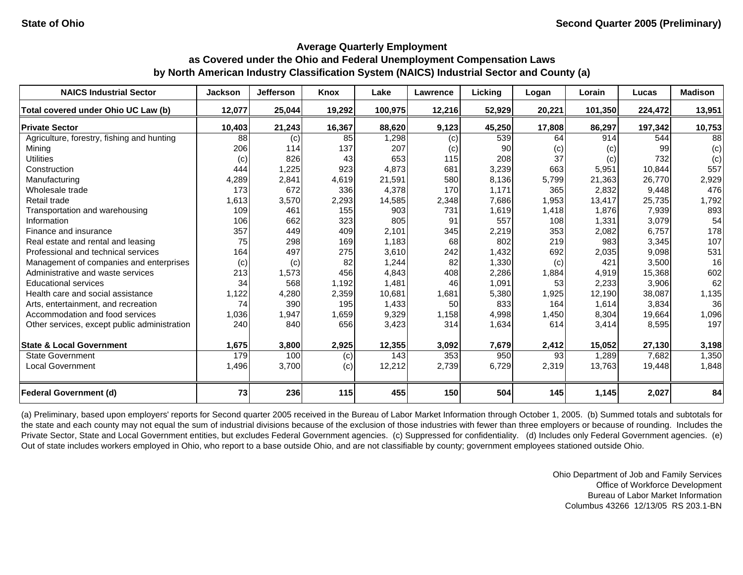| <b>NAICS Industrial Sector</b>               | <b>Jackson</b> | <b>Jefferson</b> | Knox            | Lake    | Lawrence | Licking | Logan  | Lorain  | Lucas   | <b>Madison</b> |
|----------------------------------------------|----------------|------------------|-----------------|---------|----------|---------|--------|---------|---------|----------------|
| Total covered under Ohio UC Law (b)          | 12,077         | 25,044           | 19,292          | 100,975 | 12,216   | 52,929  | 20,221 | 101,350 | 224,472 | 13,951         |
| <b>Private Sector</b>                        | 10,403         | 21,243           | 16,367          | 88,620  | 9,123    | 45,250  | 17,808 | 86,297  | 197,342 | 10,753         |
| Agriculture, forestry, fishing and hunting   | 88             | (c)              | 85              | 1,298   | (c)      | 539     | 64     | 914     | 544     | 88             |
| Minina                                       | 206            | 114              | 137             | 207     | (c)      | 90      | (c)    | (c)     | 99      | (c)            |
| <b>Utilities</b>                             | (c)            | 826              | 43 <sub>l</sub> | 653     | 115      | 208     | 37     | (c)     | 732     | (c)            |
| Construction                                 | 444            | 1,225            | 923             | 4,873   | 681      | 3,239   | 663    | 5,951   | 10,844  | 557            |
| Manufacturing                                | 4,289          | 2,841            | 4,619           | 21,591  | 580      | 8,136   | 5,799  | 21,363  | 26,770  | 2,929          |
| Wholesale trade                              | 173            | 672              | 336             | 4,378   | 170      | 1,171   | 365    | 2,832   | 9,448   | 476            |
| Retail trade                                 | 1,613          | 3,570            | 2,293           | 14,585  | 2,348    | 7,686   | 1,953  | 13,417  | 25,735  | 1,792          |
| Transportation and warehousing               | 109            | 461              | 155             | 903     | 731      | 1,619   | 1,418  | 1,876   | 7,939   | 893            |
| Information                                  | 106            | 662              | 323             | 805     | 91       | 557     | 108    | 1,331   | 3,079   | 54             |
| Finance and insurance                        | 357            | 449              | 409             | 2,101   | 345      | 2,219   | 353    | 2,082   | 6,757   | 178            |
| Real estate and rental and leasing           | 75             | 298              | 169             | 1,183   | 68       | 802     | 219    | 983     | 3,345   | 107            |
| Professional and technical services          | 164            | 497              | 275             | 3,610   | 242      | 1,432   | 692    | 2,035   | 9,098   | 531            |
| Management of companies and enterprises      | (c)            | (c)              | 82              | 1,244   | 82       | 1,330   | (c)    | 421     | 3,500   | 16             |
| Administrative and waste services            | 213            | 1,573            | 456             | 4,843   | 408      | 2,286   | 1,884  | 4,919   | 15,368  | 602            |
| <b>Educational services</b>                  | 34             | 568              | 1,192           | 1,481   | 46       | 1,091   | 53     | 2,233   | 3,906   | 62             |
| Health care and social assistance            | 1,122          | 4,280            | 2,359           | 10,681  | 1,681    | 5,380   | 1,925  | 12,190  | 38,087  | 1,135          |
| Arts, entertainment, and recreation          | 74             | 390              | 195             | 1,433   | 50       | 833     | 164    | 1,614   | 3,834   | 36             |
| Accommodation and food services              | 1,036          | 1,947            | 1,659           | 9,329   | 1,158    | 4,998   | 1,450  | 8,304   | 19,664  | 1,096          |
| Other services, except public administration | 240            | 840              | 656             | 3,423   | 314      | 1,634   | 614    | 3,414   | 8,595   | 197            |
| <b>State &amp; Local Government</b>          | 1,675          | 3,800            | 2,925           | 12,355  | 3,092    | 7,679   | 2,412  | 15,052  | 27,130  | 3,198          |
| <b>State Government</b>                      | 179            | 100              | (c)             | 143     | 353      | 950     | 93     | 1,289   | 7,682   | 1,350          |
| <b>Local Government</b>                      | 1,496          | 3,700            | (c)             | 12,212  | 2,739    | 6,729   | 2,319  | 13,763  | 19,448  | 1,848          |
| <b>Federal Government (d)</b>                | 73             | 236              | 115             | 455     | 150      | 504     | 145    | 1,145   | 2,027   | 84             |

(a) Preliminary, based upon employers' reports for Second quarter 2005 received in the Bureau of Labor Market Information through October 1, 2005. (b) Summed totals and subtotals for the state and each county may not equal the sum of industrial divisions because of the exclusion of those industries with fewer than three employers or because of rounding. Includes the Private Sector, State and Local Government entities, but excludes Federal Government agencies. (c) Suppressed for confidentiality. (d) Includes only Federal Government agencies. (e) Out of state includes workers employed in Ohio, who report to a base outside Ohio, and are not classifiable by county; government employees stationed outside Ohio.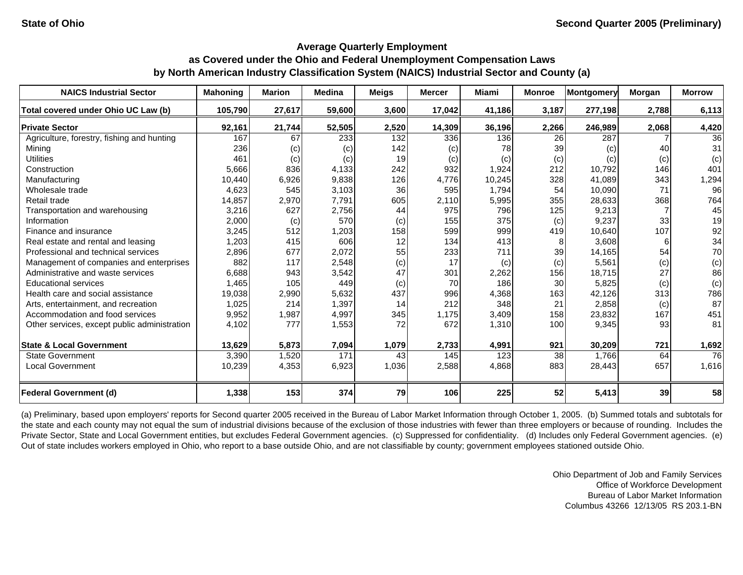| <b>NAICS Industrial Sector</b>               | <b>Mahoning</b> | <b>Marion</b> | <b>Medina</b> | <b>Meigs</b> | <b>Mercer</b> | Miami  | <b>Monroe</b> | Montgomery | Morgan | <b>Morrow</b>   |
|----------------------------------------------|-----------------|---------------|---------------|--------------|---------------|--------|---------------|------------|--------|-----------------|
| Total covered under Ohio UC Law (b)          | 105,790         | 27,617        | 59,600        | 3,600        | 17,042        | 41,186 | 3,187         | 277,198    | 2,788  | 6,113           |
| <b>Private Sector</b>                        | 92,161          | 21,744        | 52,505        | 2,520        | 14,309        | 36,196 | 2,266         | 246,989    | 2,068  | 4,420           |
| Agriculture, forestry, fishing and hunting   | 167             | 67            | 233           | 132          | 336           | 136    | 26            | 287        |        | 36              |
| Minina                                       | 236             | (c)           | (c)           | 142          | (c)           | 78     | 39            | (c)        | 40     | 31              |
| <b>Utilities</b>                             | 461             | (c)           | (c)           | 19           | (c)           | (c)    | (c)           | (c)        | (c)    | (c)             |
| Construction                                 | 5,666           | 836           | 4,133         | 242          | 932           | 1,924  | 212           | 10,792     | 146    | 401             |
| Manufacturing                                | 10,440          | 6,926         | 9,838         | 126          | 4,776         | 10,245 | 328           | 41,089     | 343    | 1,294           |
| Wholesale trade                              | 4,623           | 545           | 3,103         | 36           | 595           | 1,794  | 54            | 10,090     | 71     | 96              |
| Retail trade                                 | 14,857          | 2,970         | 7,791         | 605          | 2,110         | 5,995  | 355           | 28,633     | 368    | 764             |
| Transportation and warehousing               | 3,216           | 627           | 2,756         | 44           | 975           | 796    | 125           | 9,213      |        | 45              |
| Information                                  | 2,000           | (c)           | 570           | (c)          | 155           | 375    | (c)           | 9,237      | 33     | 19              |
| Finance and insurance                        | 3,245           | 512           | 1,203         | 158          | 599           | 999    | 419           | 10,640     | 107    | 92              |
| Real estate and rental and leasing           | 1,203           | 415           | 606           | 12           | 134           | 413    | 8             | 3,608      | 6      | 34              |
| Professional and technical services          | 2,896           | 677           | 2,072         | 55           | 233           | 711    | 39            | 14,165     | 54     | 70              |
| Management of companies and enterprises      | 882             | 117           | 2,548         | (c)          | 17            | (c)    | (c)           | 5,561      | (c)    | (c)             |
| Administrative and waste services            | 6,688           | 943           | 3,542         | 47           | 301           | 2,262  | 156           | 18,715     | 27     | 86              |
| <b>Educational services</b>                  | 1,465           | 105           | 449           | (c)          | 70            | 186    | 30            | 5,825      | (c)    | (c)             |
| Health care and social assistance            | 19,038          | 2,990         | 5,632         | 437          | 996           | 4,368  | 163           | 42,126     | 313    | 786             |
| Arts, entertainment, and recreation          | 1,025           | 214           | 1,397         | 14           | 212           | 348    | 21            | 2,858      | (c)    | 87              |
| Accommodation and food services              | 9,952           | 1,987         | 4,997         | 345          | 1,175         | 3,409  | 158           | 23,832     | 167    | 451             |
| Other services, except public administration | 4,102           | 777           | 1,553         | 72           | 672           | 1,310  | 100           | 9,345      | 93     | 81              |
| <b>State &amp; Local Government</b>          | 13,629          | 5,873         | 7,094         | 1,079        | 2,733         | 4,991  | 921           | 30,209     | 721    | 1,692           |
| <b>State Government</b>                      | 3,390           | 1,520         | 171           | 43           | 145           | 123    | 38            | 1,766      | 64     | $\overline{76}$ |
| <b>Local Government</b>                      | 10,239          | 4,353         | 6,923         | 1,036        | 2,588         | 4,868  | 883           | 28,443     | 657    | 1,616           |
| <b>Federal Government (d)</b>                | 1,338           | 153           | 374           | 79           | 106           | 225    | 52            | 5,413      | 39     | 58              |

(a) Preliminary, based upon employers' reports for Second quarter 2005 received in the Bureau of Labor Market Information through October 1, 2005. (b) Summed totals and subtotals for the state and each county may not equal the sum of industrial divisions because of the exclusion of those industries with fewer than three employers or because of rounding. Includes the Private Sector, State and Local Government entities, but excludes Federal Government agencies. (c) Suppressed for confidentiality. (d) Includes only Federal Government agencies. (e) Out of state includes workers employed in Ohio, who report to a base outside Ohio, and are not classifiable by county; government employees stationed outside Ohio.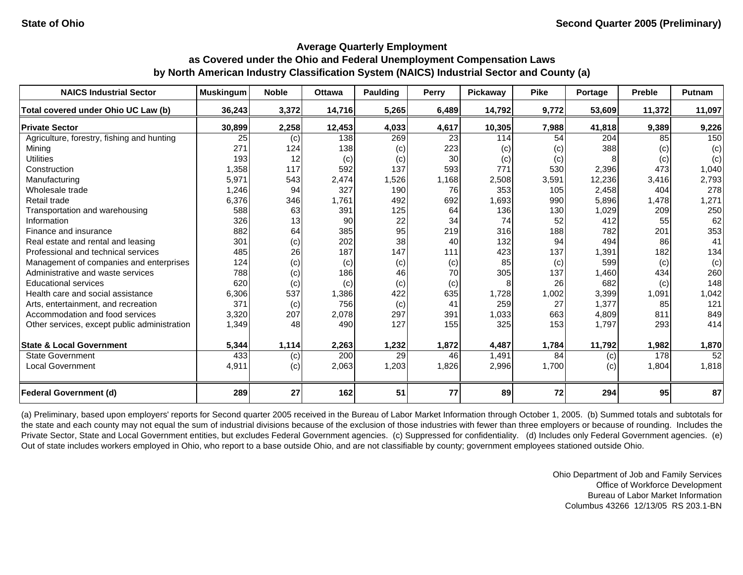| <b>NAICS Industrial Sector</b>               | <b>Muskingum</b> | <b>Noble</b> | <b>Ottawa</b> | Paulding | Perry | Pickaway | <b>Pike</b> | Portage | <b>Preble</b> | Putnam |
|----------------------------------------------|------------------|--------------|---------------|----------|-------|----------|-------------|---------|---------------|--------|
| Total covered under Ohio UC Law (b)          | 36,243           | 3,372        | 14,716        | 5,265    | 6,489 | 14,792   | 9,772       | 53,609  | 11,372        | 11,097 |
| <b>Private Sector</b>                        | 30,899           | 2,258        | 12,453        | 4,033    | 4,617 | 10,305   | 7,988       | 41,818  | 9,389         | 9,226  |
| Agriculture, forestry, fishing and hunting   | 25               | (c)          | 138           | 269      | 23    | 114      | 54          | 204     | 85            | 150    |
| Mining                                       | 271              | 124          | 138           | (c)      | 223   | (c)      | (c)         | 388     | (c)           | (c)    |
| <b>Utilities</b>                             | 193              | 12           | (c)           | (c)      | 30    | (c)      | (c)         |         | (c)           | (c)    |
| Construction                                 | 1,358            | 117          | 592           | 137      | 593   | 771      | 530         | 2,396   | 473           | 1,040  |
| Manufacturing                                | 5,971            | 543          | 2,474         | 1,526    | 1,168 | 2,508    | 3,591       | 12,236  | 3,416         | 2,793  |
| Wholesale trade                              | 1,246            | 94           | 327           | 190      | 76    | 353      | 105         | 2,458   | 404           | 278    |
| Retail trade                                 | 6,376            | 346          | 1,761         | 492      | 692   | ,693     | 990         | 5,896   | 1,478         | 1,271  |
| Transportation and warehousing               | 588              | 63           | 391           | 125      | 64    | 136      | 130         | 1,029   | 209           | 250    |
| Information                                  | 326              | 13           | 90            | 22       | 34    | 74       | 52          | 412     | 55            | 62     |
| Finance and insurance                        | 882              | 64           | 385           | 95       | 219   | 316      | 188         | 782     | 201           | 353    |
| Real estate and rental and leasing           | 301              | (c)          | 202           | 38       | 40    | 132      | 94          | 494     | 86            | 41     |
| Professional and technical services          | 485              | 26           | 187           | 147      | 111   | 423      | 137         | 1,391   | 182           | 134    |
| Management of companies and enterprises      | 124              | (c)          | (c)           | (c)      | (c)   | 85       | (c)         | 599     | (c)           | (c)    |
| Administrative and waste services            | 788              | (c)          | 186           | 46       | 70    | 305      | 137         | 1,460   | 434           | 260    |
| <b>Educational services</b>                  | 620              | (c)          | (c)           | (c)      | (c)   |          | 26          | 682     | (c)           | 148    |
| Health care and social assistance            | 6,306            | 537          | 1,386         | 422      | 635   | 1,728    | 1,002       | 3,399   | 1,091         | 1,042  |
| Arts, entertainment, and recreation          | 371              | (c)          | 756           | (c)      | 41    | 259      | 27          | 1,377   | 85            | 121    |
| Accommodation and food services              | 3,320            | 207          | 2,078         | 297      | 391   | 1,033    | 663         | 4,809   | 811           | 849    |
| Other services, except public administration | 1,349            | 48           | 490           | 127      | 155   | 325      | 153         | 1,797   | 293           | 414    |
| <b>State &amp; Local Government</b>          | 5,344            | 1,114        | 2,263         | 1,232    | 1,872 | 4,487    | 1,784       | 11,792  | 1,982         | 1,870  |
| <b>State Government</b>                      | 433              | (c)          | 200           | 29       | 46    | 1,491    | 84          | (c)     | 178           | 52     |
| <b>Local Government</b>                      | 4,911            | (c)          | 2,063         | 1,203    | 1,826 | 2,996    | 1,700       | (c)     | 1,804         | 1,818  |
| <b>Federal Government (d)</b>                | 289              | 27           | 162           | 51       | 77    | 89       | 72          | 294     | 95            | 87     |

(a) Preliminary, based upon employers' reports for Second quarter 2005 received in the Bureau of Labor Market Information through October 1, 2005. (b) Summed totals and subtotals for the state and each county may not equal the sum of industrial divisions because of the exclusion of those industries with fewer than three employers or because of rounding. Includes the Private Sector, State and Local Government entities, but excludes Federal Government agencies. (c) Suppressed for confidentiality. (d) Includes only Federal Government agencies. (e) Out of state includes workers employed in Ohio, who report to a base outside Ohio, and are not classifiable by county; government employees stationed outside Ohio.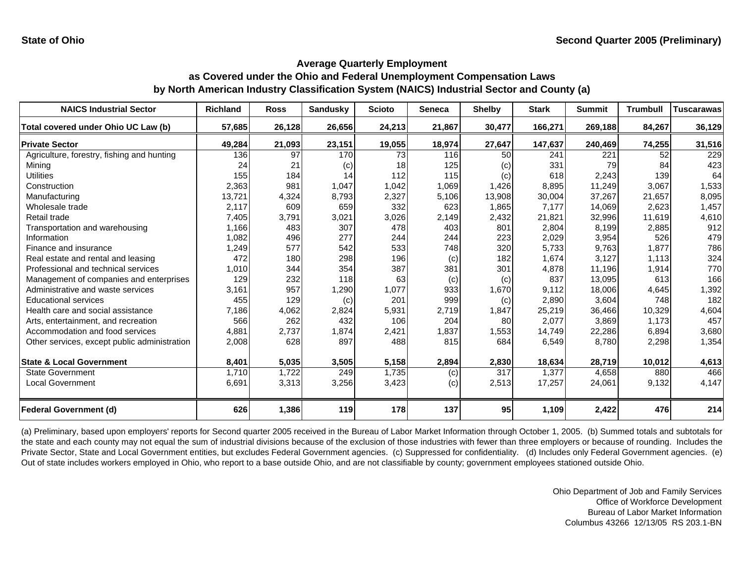| <b>NAICS Industrial Sector</b>               | <b>Richland</b> | <b>Ross</b> | <b>Sandusky</b> | <b>Scioto</b> | Seneca | <b>Shelby</b> | <b>Stark</b> | <b>Summit</b> | <b>Trumbull</b> | <b>Tuscarawas</b> |
|----------------------------------------------|-----------------|-------------|-----------------|---------------|--------|---------------|--------------|---------------|-----------------|-------------------|
| Total covered under Ohio UC Law (b)          | 57,685          | 26,128      | 26,656          | 24,213        | 21,867 | 30,477        | 166,271      | 269,188       | 84,267          | 36,129            |
| <b>Private Sector</b>                        | 49,284          | 21,093      | 23,151          | 19,055        | 18,974 | 27,647        | 147,637      | 240,469       | 74,255          | 31,516            |
| Agriculture, forestry, fishing and hunting   | 136             | 97          | 170             | 73            | 116    | 50            | 241          | 221           | 52              | 229               |
| Mining                                       | 24              | 21          | (c)             | 18            | 125    | (c)           | 331          | 79            | 84              | 423               |
| Utilities                                    | 155             | 184         | 14              | 112           | 115    | (c)           | 618          | 2,243         | 139             | 64                |
| Construction                                 | 2,363           | 981         | 1,047           | 1,042         | 1,069  | 1,426         | 8,895        | 11,249        | 3,067           | 1,533             |
| Manufacturing                                | 13,721          | 4,324       | 8,793           | 2,327         | 5,106  | 13,908        | 30,004       | 37,267        | 21,657          | 8,095             |
| Wholesale trade                              | 2,117           | 609         | 659             | 332           | 623    | 1,865         | 7,177        | 14,069        | 2,623           | 1,457             |
| Retail trade                                 | 7,405           | 3,791       | 3,021           | 3,026         | 2,149  | 2,432         | 21,821       | 32,996        | 11,619          | 4,610             |
| Transportation and warehousing               | 1,166           | 483         | 307             | 478           | 403    | 801           | 2,804        | 8,199         | 2,885           | 912               |
| Information                                  | 1,082           | 496         | 277             | 244           | 244    | 223           | 2,029        | 3,954         | 526             | 479               |
| Finance and insurance                        | 1,249           | 577         | 542             | 533           | 748    | 320           | 5,733        | 9,763         | 1.877           | 786               |
| Real estate and rental and leasing           | 472             | 180         | 298             | 196           | (c)    | 182           | 1,674        | 3,127         | 1.113           | 324               |
| Professional and technical services          | 1,010           | 344         | 354             | 387           | 381    | 301           | 4,878        | 11,196        | 1,914           | 770               |
| Management of companies and enterprises      | 129             | 232         | 118             | 63            | (c)    | (c)           | 837          | 13,095        | 613             | 166               |
| Administrative and waste services            | 3,161           | 957         | 1,290           | 1,077         | 933    | 1,670         | 9,112        | 18,006        | 4,645           | 1,392             |
| <b>Educational services</b>                  | 455             | 129         | (c)             | 201           | 999    | (c)           | 2,890        | 3,604         | 748             | 182               |
| Health care and social assistance            | 7,186           | 4,062       | 2,824           | 5,931         | 2,719  | 1,847         | 25,219       | 36,466        | 10,329          | 4,604             |
| Arts, entertainment, and recreation          | 566             | 262         | 432             | 106           | 204    | 80            | 2,077        | 3,869         | 1,173           | 457               |
| Accommodation and food services              | 4,881           | 2,737       | 1,874           | 2,421         | 1,837  | 1,553         | 14,749       | 22,286        | 6,894           | 3,680             |
| Other services, except public administration | 2,008           | 628         | 897             | 488           | 815    | 684           | 6,549        | 8,780         | 2,298           | 1,354             |
| <b>State &amp; Local Government</b>          | 8,401           | 5,035       | 3,505           | 5,158         | 2,894  | 2,830         | 18,634       | 28,719        | 10,012          | 4,613             |
| <b>State Government</b>                      | 1.710           | 1,722       | 249             | 1,735         | (c)    | 317           | 1,377        | 4,658         | 880             | 466               |
| <b>Local Government</b>                      | 6,691           | 3,313       | 3,256           | 3,423         | (c)    | 2,513         | 17,257       | 24,061        | 9,132           | 4,147             |
| <b>Federal Government (d)</b>                | 626             | 1,386       | 119             | 178           | 137    | 95            | 1,109        | 2,422         | 476             | 214               |

(a) Preliminary, based upon employers' reports for Second quarter 2005 received in the Bureau of Labor Market Information through October 1, 2005. (b) Summed totals and subtotals for the state and each county may not equal the sum of industrial divisions because of the exclusion of those industries with fewer than three employers or because of rounding. Includes the Private Sector, State and Local Government entities, but excludes Federal Government agencies. (c) Suppressed for confidentiality. (d) Includes only Federal Government agencies. (e) Out of state includes workers employed in Ohio, who report to a base outside Ohio, and are not classifiable by county; government employees stationed outside Ohio.